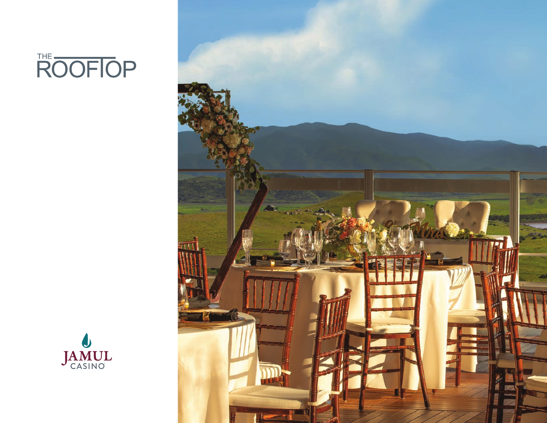



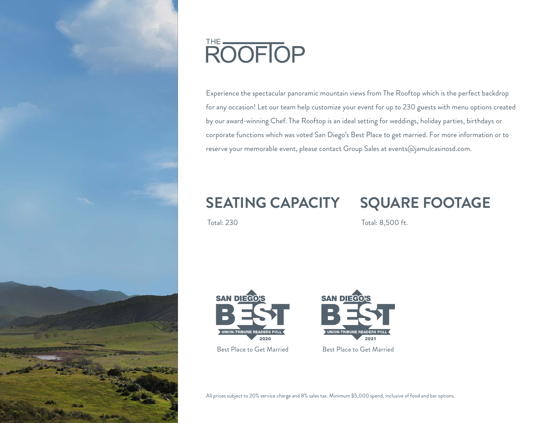

# ROOFIOP

Experience the spectacular panoramic mountain views from The Rooftop which is the perfect backdrop for any occasion! Let our team help customize your event for up to 230 guests with menu options created by our award-winning Chef. The Rooftop is an ideal setting for weddings, holiday parties, birthdays or corporate functions which was voted San Diego's Best Place to get married. For more information or to reserve your memorable event, please contact Group Sales at events@jamulcasinosd.com.

### **SEATING CAPACITY SQUARE FOOTAGE**

Total: 230

Total: 8,500 ft.





Best Place to Get Married Best Place to Get Married

All prices subject to 20% service charge and 8% sales tax. Minimum \$5,000 spend, inclusive of food and bar options.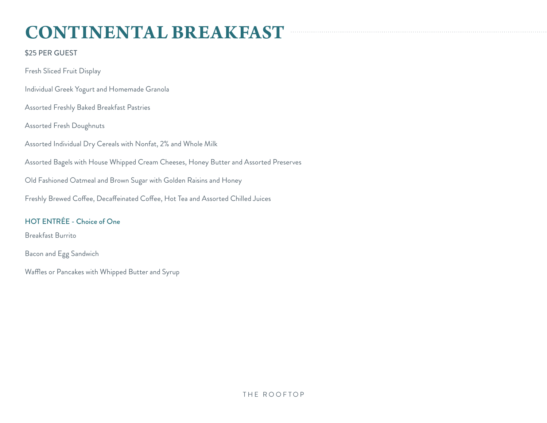## **CONTINENTAL BREAKFAST**

### \$25 PER GUEST

Fresh Sliced Fruit Display Individual Greek Yogurt and Homemade Granola Assorted Freshly Baked Breakfast Pastries Assorted Fresh Doughnuts Assorted Individual Dry Cereals with Nonfat, 2% and Whole Milk Assorted Bagels with House Whipped Cream Cheeses, Honey Butter and Assorted Preserves Old Fashioned Oatmeal and Brown Sugar with Golden Raisins and Honey Freshly Brewed Coffee, Decaffeinated Coffee, Hot Tea and Assorted Chilled Juices

### HOT ENTRÉE - Choice of One

Breakfast Burrito

Bacon and Egg Sandwich

Waffles or Pancakes with Whipped Butter and Syrup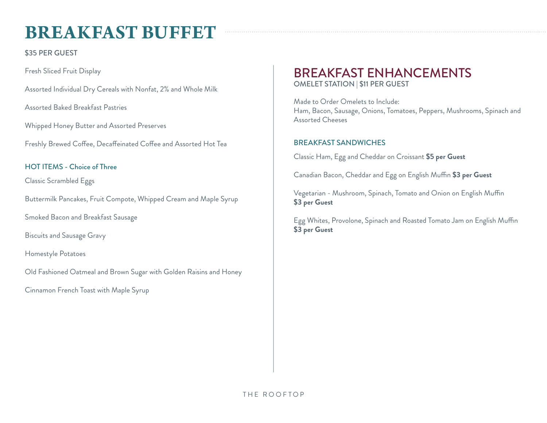## **BREAKFAST BUFFET**

\$35 PER GUEST

Fresh Sliced Fruit Display

Assorted Individual Dry Cereals with Nonfat, 2% and Whole Milk

Assorted Baked Breakfast Pastries

Whipped Honey Butter and Assorted Preserves

Freshly Brewed Coffee, Decaffeinated Coffee and Assorted Hot Tea

### HOT ITEMS - Choice of Three

Classic Scrambled Eggs

Buttermilk Pancakes, Fruit Compote, Whipped Cream and Maple Syrup

Smoked Bacon and Breakfast Sausage

Biscuits and Sausage Gravy

Homestyle Potatoes

Old Fashioned Oatmeal and Brown Sugar with Golden Raisins and Honey

Cinnamon French Toast with Maple Syrup

### BREAKFAST ENHANCEMENTS OMELET STATION | \$11 PER GUEST

Made to Order Omelets to Include: Ham, Bacon, Sausage, Onions, Tomatoes, Peppers, Mushrooms, Spinach and Assorted Cheeses

### BREAKFAST SANDWICHES

Classic Ham, Egg and Cheddar on Croissant **\$5 per Guest**

Canadian Bacon, Cheddar and Egg on English Muffin **\$3 per Guest**

Vegetarian - Mushroom, Spinach, Tomato and Onion on English Muffin **\$3 per Guest**

Egg Whites, Provolone, Spinach and Roasted Tomato Jam on English Muffin **\$3 per Guest**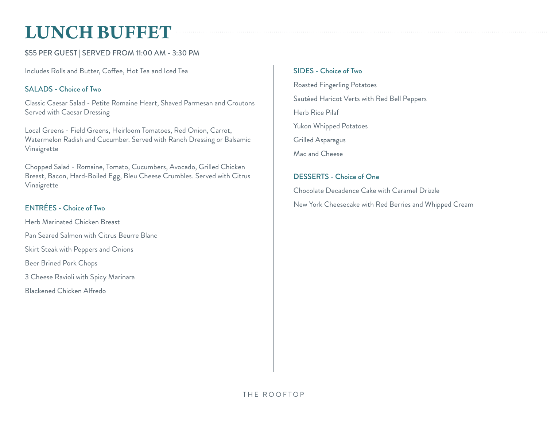## **LUNCH BUFFET**

### \$55 PER GUEST | SERVED FROM 11:00 AM - 3:30 PM

Includes Rolls and Butter, Coffee, Hot Tea and Iced Tea

### SALADS - Choice of Two

Classic Caesar Salad - Petite Romaine Heart, Shaved Parmesan and Croutons Served with Caesar Dressing

Local Greens - Field Greens, Heirloom Tomatoes, Red Onion, Carrot, Watermelon Radish and Cucumber. Served with Ranch Dressing or Balsamic Vinaigrette

Chopped Salad - Romaine, Tomato, Cucumbers, Avocado, Grilled Chicken Breast, Bacon, Hard-Boiled Egg, Bleu Cheese Crumbles. Served with Citrus Vinaigrette

### ENTRÉES - Choice of Two

Herb Marinated Chicken Breast Pan Seared Salmon with Citrus Beurre Blanc Skirt Steak with Peppers and Onions Beer Brined Pork Chops 3 Cheese Ravioli with Spicy Marinara Blackened Chicken Alfredo

### SIDES - Choice of Two

Roasted Fingerling Potatoes Sautéed Haricot Verts with Red Bell Peppers Herb Rice Pilaf Yukon Whipped Potatoes Grilled Asparagus Mac and Cheese

### DESSERTS - Choice of One

Chocolate Decadence Cake with Caramel Drizzle New York Cheesecake with Red Berries and Whipped Cream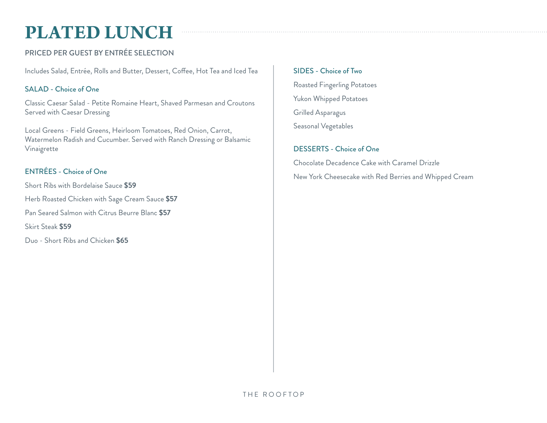## **PLATED LUNCH**

### PRICED PER GUEST BY ENTRÉE SELECTION

Includes Salad, Entrée, Rolls and Butter, Dessert, Coffee, Hot Tea and Iced Tea

### SALAD - Choice of One

Classic Caesar Salad - Petite Romaine Heart, Shaved Parmesan and Croutons Served with Caesar Dressing

Local Greens - Field Greens, Heirloom Tomatoes, Red Onion, Carrot, Watermelon Radish and Cucumber. Served with Ranch Dressing or Balsamic Vinaigrette

### ENTRÉES - Choice of One

Short Ribs with Bordelaise Sauce **\$59** Herb Roasted Chicken with Sage Cream Sauce **\$57** Pan Seared Salmon with Citrus Beurre Blanc **\$57** Skirt Steak **\$59** Duo - Short Ribs and Chicken **\$65**

SIDES - Choice of Two

Roasted Fingerling Potatoes Yukon Whipped Potatoes Grilled Asparagus Seasonal Vegetables

### DESSERTS - Choice of One

Chocolate Decadence Cake with Caramel Drizzle New York Cheesecake with Red Berries and Whipped Cream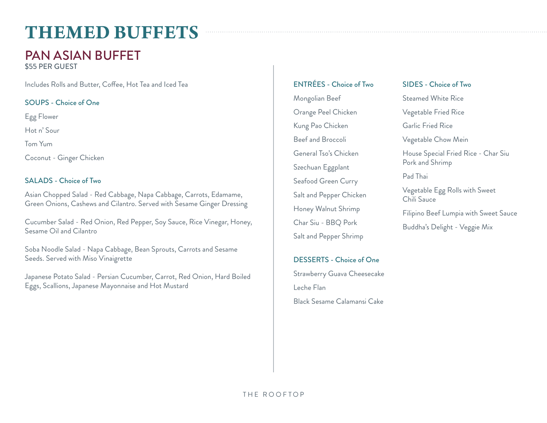## **THEMED BUFFETS**

### PAN ASIAN BUFFET

\$55 PER GUEST

Includes Rolls and Butter, Coffee, Hot Tea and Iced Tea

### SOUPS - Choice of One

Egg Flower

Hot n' Sour

Tom Yum

Coconut - Ginger Chicken

### SALADS - Choice of Two

Asian Chopped Salad - Red Cabbage, Napa Cabbage, Carrots, Edamame, Green Onions, Cashews and Cilantro. Served with Sesame Ginger Dressing

Cucumber Salad - Red Onion, Red Pepper, Soy Sauce, Rice Vinegar, Honey, Sesame Oil and Cilantro

Soba Noodle Salad - Napa Cabbage, Bean Sprouts, Carrots and Sesame Seeds. Served with Miso Vinaigrette

Japanese Potato Salad - Persian Cucumber, Carrot, Red Onion, Hard Boiled Eggs, Scallions, Japanese Mayonnaise and Hot Mustard

### ENTRÉES - Choice of Two

Mongolian Beef Orange Peel Chicken Kung Pao Chicken Beef and Broccoli General Tso's Chicken Szechuan Eggplant Seafood Green Curry Salt and Pepper Chicken Honey Walnut Shrimp Char Siu - BBQ Pork Salt and Pepper Shrimp

### DESSERTS - Choice of One

Strawberry Guava Cheesecake Leche Flan Black Sesame Calamansi Cake

### SIDES - Choice of Two

Steamed White Rice

Vegetable Fried Rice

Garlic Fried Rice

Vegetable Chow Mein

House Special Fried Rice - Char Siu Pork and Shrimp

Pad Thai

Vegetable Egg Rolls with Sweet Chili Sauce

Filipino Beef Lumpia with Sweet Sauce

Buddha's Delight - Veggie Mix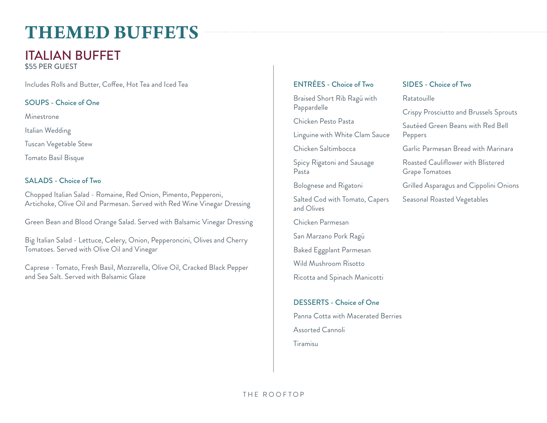## **THEMED BUFFETS**

### ITALIAN BUFFET

\$55 PER GUEST

Includes Rolls and Butter, Coffee, Hot Tea and Iced Tea

### SOUPS - Choice of One

Minestrone

Italian Wedding

Tuscan Vegetable Stew

Tomato Basil Bisque

### SALADS - Choice of Two

Chopped Italian Salad - Romaine, Red Onion, Pimento, Pepperoni, Artichoke, Olive Oil and Parmesan. Served with Red Wine Vinegar Dressing

Green Bean and Blood Orange Salad. Served with Balsamic Vinegar Dressing

Big Italian Salad - Lettuce, Celery, Onion, Pepperoncini, Olives and Cherry Tomatoes. Served with Olive Oil and Vinegar

Caprese - Tomato, Fresh Basil, Mozzarella, Olive Oil, Cracked Black Pepper and Sea Salt. Served with Balsamic Glaze

### ENTRÉES - Choice of Two

Braised Short Rib Ragú with Pappardelle

Chicken Pesto Pasta

Linguine with White Clam Sauce

Chicken Saltimbocca

Spicy Rigatoni and Sausage Pasta

Bolognese and Rigatoni

Salted Cod with Tomato, Capers and Olives

Chicken Parmesan

San Marzano Pork Ragú

Baked Eggplant Parmesan

Wild Mushroom Risotto

Ricotta and Spinach Manicotti

### DESSERTS - Choice of One

Panna Cotta with Macerated Berries Assorted Cannoli Tiramisu

### SIDES - Choice of Two

Ratatouille

Crispy Prosciutto and Brussels Sprouts

Sautéed Green Beans with Red Bell Peppers

Garlic Parmesan Bread with Marinara

Roasted Cauliflower with Blistered Grape Tomatoes

Grilled Asparagus and Cippolini Onions

Seasonal Roasted Vegetables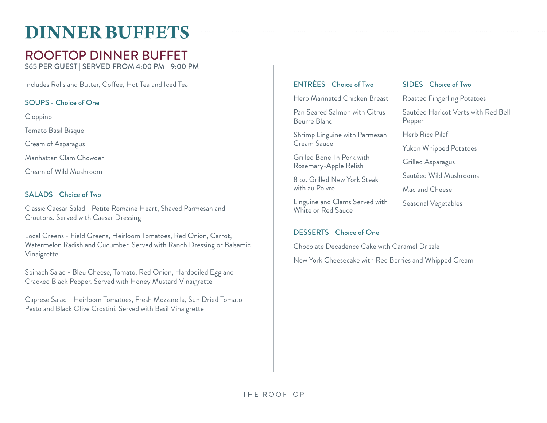## **DINNER BUFFETS**

### ROOFTOP DINNER BUFFET

\$65 PER GUEST | SERVED FROM 4:00 PM - 9:00 PM

Includes Rolls and Butter, Coffee, Hot Tea and Iced Tea

### SOUPS - Choice of One

Cioppino Tomato Basil Bisque Cream of Asparagus Manhattan Clam Chowder Cream of Wild Mushroom

### SALADS - Choice of Two

Classic Caesar Salad - Petite Romaine Heart, Shaved Parmesan and Croutons. Served with Caesar Dressing

Local Greens - Field Greens, Heirloom Tomatoes, Red Onion, Carrot, Watermelon Radish and Cucumber. Served with Ranch Dressing or Balsamic Vinaigrette

Spinach Salad - Bleu Cheese, Tomato, Red Onion, Hardboiled Egg and Cracked Black Pepper. Served with Honey Mustard Vinaigrette

Caprese Salad - Heirloom Tomatoes, Fresh Mozzarella, Sun Dried Tomato Pesto and Black Olive Crostini. Served with Basil Vinaigrette

### ENTRÉES - Choice of Two

Herb Marinated Chicken Breast

Pan Seared Salmon with Citrus Beurre Blanc

Shrimp Linguine with Parmesan Cream Sauce

Grilled Bone-In Pork with Rosemary-Apple Relish

8 oz. Grilled New York Steak with au Poivre

Linguine and Clams Served with White or Red Sauce

### DESSERTS - Choice of One

Chocolate Decadence Cake with Caramel Drizzle New York Cheesecake with Red Berries and Whipped Cream

### SIDES - Choice of Two

Roasted Fingerling Potatoes

Sautéed Haricot Verts with Red Bell Pepper

Herb Rice Pilaf

Yukon Whipped Potatoes

Grilled Asparagus

Sautéed Wild Mushrooms

Mac and Cheese

Seasonal Vegetables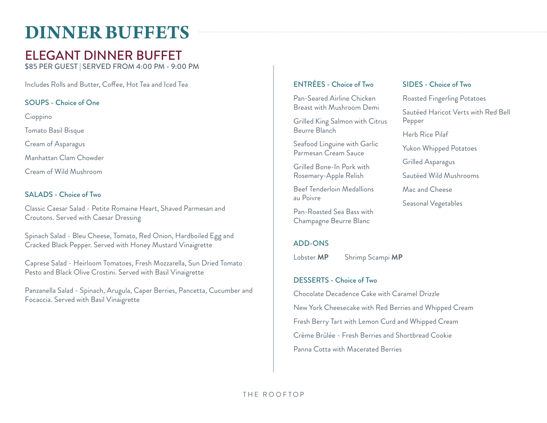## **DINNER BUFFETS**

### ELEGANT DINNER BUFFET

\$85 PER GUEST | SERVED FROM 4:00 PM - 9:00 PM

Includes Rolls and Butter, Coffee, Hot Tea and Iced Tea

### SOUPS - Choice of One

Cioppino Tomato Basil Bisque Cream of Asparagus Manhattan Clam Chowder Cream of Wild Mushroom

### SALADS - Choice of Two

Classic Caesar Salad - Petite Romaine Heart, Shaved Parmesan and Croutons. Served with Caesar Dressing

Spinach Salad - Bleu Cheese, Tomato, Red Onion, Hardboiled Egg and Cracked Black Pepper. Served with Honey Mustard Vinaigrette

Caprese Salad - Heirloom Tomatoes, Fresh Mozzarella, Sun Dried Tomato Pesto and Black Olive Crostini. Served with Basil Vinaigrette

Panzanella Salad - Spinach, Arugula, Caper Berries, Pancetta, Cucumber and Focaccia. Served with Basil Vinaigrette

### ENTRÉES - Choice of Two

Pan-Seared Airline Chicken Breast with Mushroom Demi

Grilled King Salmon with Citrus Beurre Blanch

Seafood Linguine with Garlic Parmesan Cream Sauce

Grilled Bone-In Pork with Rosemary-Apple Relish

Beef Tenderloin Medallions au Poivre

Pan-Roasted Sea Bass with Champagne Beurre Blanc

### ADD-ONS

Lobster **MP** Shrimp Scampi **MP**

### DESSERTS - Choice of Two

Chocolate Decadence Cake with Caramel Drizzle New York Cheesecake with Red Berries and Whipped Cream Fresh Berry Tart with Lemon Curd and Whipped Cream Crème Brûlée - Fresh Berries and Shortbread Cookie Panna Cotta with Macerated Berries

### SIDES - Choice of Two

Roasted Fingerling Potatoes

Sautéed Haricot Verts with Red Bell Pepper

Herb Rice Pilaf

Yukon Whipped Potatoes

Grilled Asparagus

Sautéed Wild Mushrooms

Mac and Cheese

Seasonal Vegetables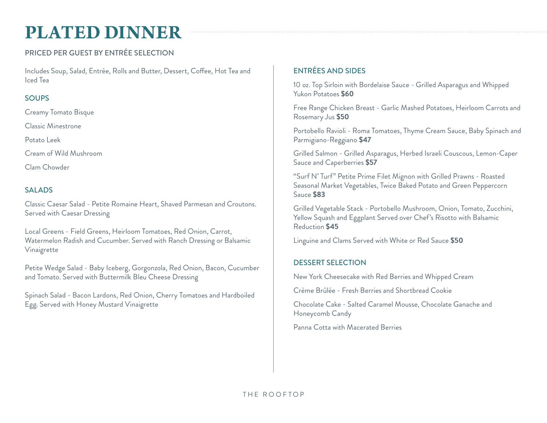## **PLATED DINNER**

### PRICED PER GUEST BY ENTRÉE SELECTION

Includes Soup, Salad, Entrée, Rolls and Butter, Dessert, Coffee, Hot Tea and Iced Tea

### **SOUPS**

Creamy Tomato Bisque

Classic Minestrone

Potato Leek

Cream of Wild Mushroom

Clam Chowder

### SALADS

Classic Caesar Salad - Petite Romaine Heart, Shaved Parmesan and Croutons. Served with Caesar Dressing

Local Greens - Field Greens, Heirloom Tomatoes, Red Onion, Carrot, Watermelon Radish and Cucumber. Served with Ranch Dressing or Balsamic Vinaigrette

Petite Wedge Salad - Baby Iceberg, Gorgonzola, Red Onion, Bacon, Cucumber and Tomato. Served with Buttermilk Bleu Cheese Dressing

Spinach Salad - Bacon Lardons, Red Onion, Cherry Tomatoes and Hardboiled Egg. Served with Honey Mustard Vinaigrette

### ENTRÉES AND SIDES

10 oz. Top Sirloin with Bordelaise Sauce - Grilled Asparagus and Whipped Yukon Potatoes **\$60**

Free Range Chicken Breast - Garlic Mashed Potatoes, Heirloom Carrots and Rosemary Jus **\$50**

Portobello Ravioli - Roma Tomatoes, Thyme Cream Sauce, Baby Spinach and Parmigiano-Reggiano **\$47**

Grilled Salmon - Grilled Asparagus, Herbed Israeli Couscous, Lemon-Caper Sauce and Caperberries **\$57**

"Surf N' Turf" Petite Prime Filet Mignon with Grilled Prawns - Roasted Seasonal Market Vegetables, Twice Baked Potato and Green Peppercorn Sauce **\$83**

Grilled Vegetable Stack - Portobello Mushroom, Onion, Tomato, Zucchini, Yellow Squash and Eggplant Served over Chef's Risotto with Balsamic Reduction **\$45**

Linguine and Clams Served with White or Red Sauce **\$50**

### DESSERT SELECTION

New York Cheesecake with Red Berries and Whipped Cream

Crème Brûlée - Fresh Berries and Shortbread Cookie

Chocolate Cake - Salted Caramel Mousse, Chocolate Ganache and Honeycomb Candy

Panna Cotta with Macerated Berries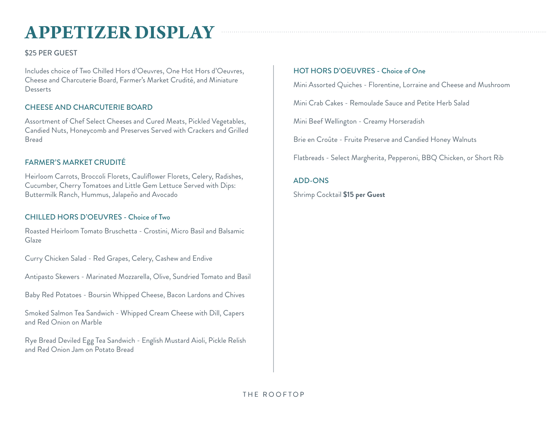## **APPETIZER DISPLAY**

### \$25 PER GUEST

Includes choice of Two Chilled Hors d'Oeuvres, One Hot Hors d'Oeuvres, Cheese and Charcuterie Board, Farmer's Market Crudité, and Miniature **Desserts** 

### CHEESE AND CHARCUTERIE BOARD

Assortment of Chef Select Cheeses and Cured Meats, Pickled Vegetables, Candied Nuts, Honeycomb and Preserves Served with Crackers and Grilled Bread

### FARMER'S MARKET CRUDITÉ

Heirloom Carrots, Broccoli Florets, Cauliflower Florets, Celery, Radishes, Cucumber, Cherry Tomatoes and Little Gem Lettuce Served with Dips: Buttermilk Ranch, Hummus, Jalapeño and Avocado

### CHILLED HORS D'OEUVRES - Choice of Two

Roasted Heirloom Tomato Bruschetta - Crostini, Micro Basil and Balsamic **Glaze** 

Curry Chicken Salad - Red Grapes, Celery, Cashew and Endive

Antipasto Skewers - Marinated Mozzarella, Olive, Sundried Tomato and Basil

Baby Red Potatoes - Boursin Whipped Cheese, Bacon Lardons and Chives

Smoked Salmon Tea Sandwich - Whipped Cream Cheese with Dill, Capers and Red Onion on Marble

Rye Bread Deviled Egg Tea Sandwich - English Mustard Aioli, Pickle Relish and Red Onion Jam on Potato Bread

### HOT HORS D'OEUVRES - Choice of One

Mini Assorted Quiches - Florentine, Lorraine and Cheese and Mushroom

Mini Crab Cakes - Remoulade Sauce and Petite Herb Salad

Mini Beef Wellington - Creamy Horseradish

Brie en Croûte - Fruite Preserve and Candied Honey Walnuts

Flatbreads - Select Margherita, Pepperoni, BBQ Chicken, or Short Rib

#### ADD-ONS

Shrimp Cocktail **\$15 per Guest**